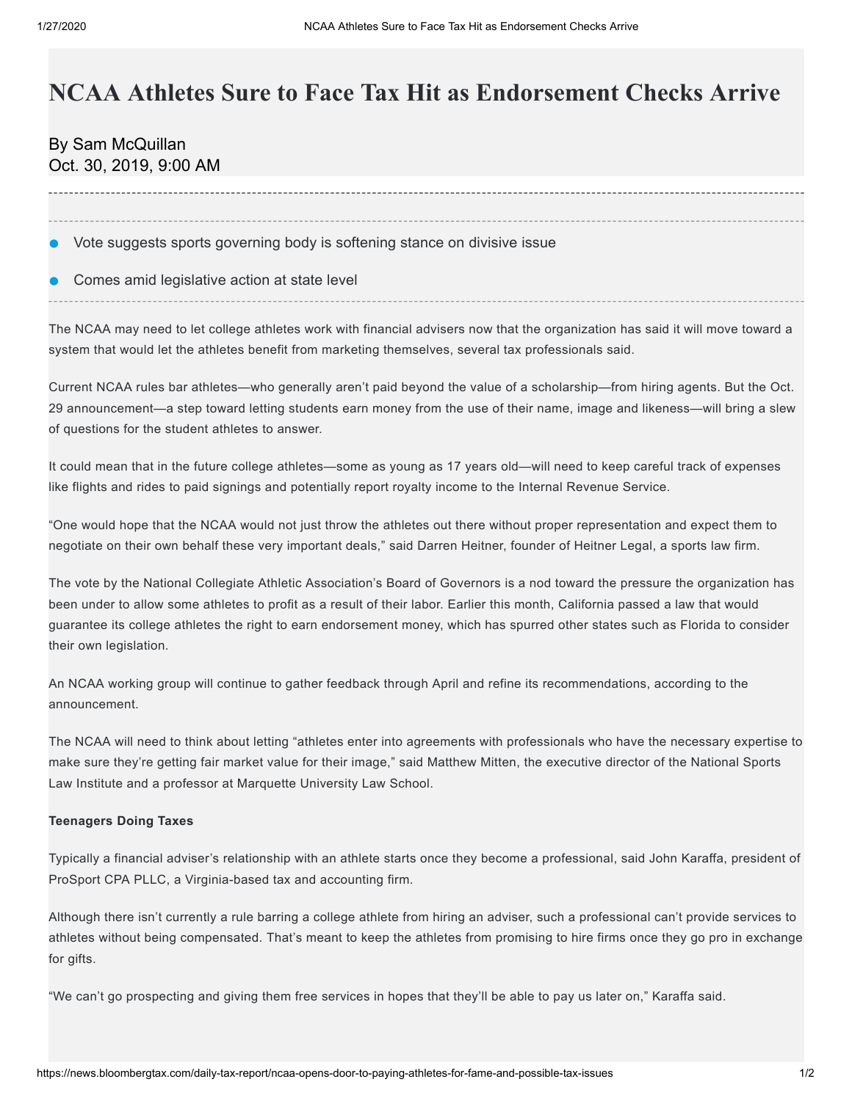# **NCAA Athletes Sure to Face Tax Hit as Endorsement Checks Arrive**

By [Sam McQuillan](mailto:smcquillan@bloomberglaw.com) Oct. 30, 2019, 9:00 AM

- Vote suggests sports governing body is softening stance on divisive issue
- Comes amid legislative action at state level

The NCAA may need to let college athletes work with financial advisers now that the organization has said it will move toward a system that would let the athletes benefit from marketing themselves, several tax professionals said.

Current NCAA rules bar athletes—who generally aren't paid beyond the value of a scholarship—from hiring agents. But the Oct. 29 [announcement—](http://www.ncaa.org/about/resources/media-center/news/board-governors-starts-process-enhance-name-image-and-likeness-opportunities)a step toward letting students earn money from the use of their name, image and likeness—will bring a slew of questions for the student athletes to answer.

It could mean that in the future college athletes—some as young as 17 years old—will need to keep careful track of expenses like flights and rides to paid signings and potentially report royalty income to the Internal Revenue Service.

"One would hope that the NCAA would not just throw the athletes out there without proper representation and expect them to negotiate on their own behalf these very important deals," said Darren Heitner, founder of Heitner Legal, a sports law firm.

The vote by the National Collegiate Athletic Association's Board of Governors is a nod toward the pressure the organization has been under to allow some athletes to profit as a result of their labor. Earlier this month, California passed a [law](http://leginfo.legislature.ca.gov/faces/billNavClient.xhtml?bill_id=201920200SB206) that would guarantee its college athletes the right to earn endorsement money, which has spurred other states such as Florida to consider their own legislation.

An NCAA working group will continue to gather feedback through April and refine its recommendations, according to the announcement.

The NCAA will need to think about letting "athletes enter into agreements with professionals who have the necessary expertise to make sure they're getting fair market value for their image," said Matthew Mitten, the executive director of the National Sports Law Institute and a professor at Marquette University Law School.

## **Teenagers Doing Taxes**

Typically a financial adviser's relationship with an athlete starts once they become a professional, said John Karaffa, president of ProSport CPA PLLC, a Virginia-based tax and accounting firm.

Although there isn't currently a rule barring a college athlete from hiring an adviser, such a professional can't provide services to athletes without being compensated. That's meant to keep the athletes from promising to hire firms once they go pro in exchange for gifts.

"We can't go prospecting and giving them free services in hopes that they'll be able to pay us later on," Karaffa said.